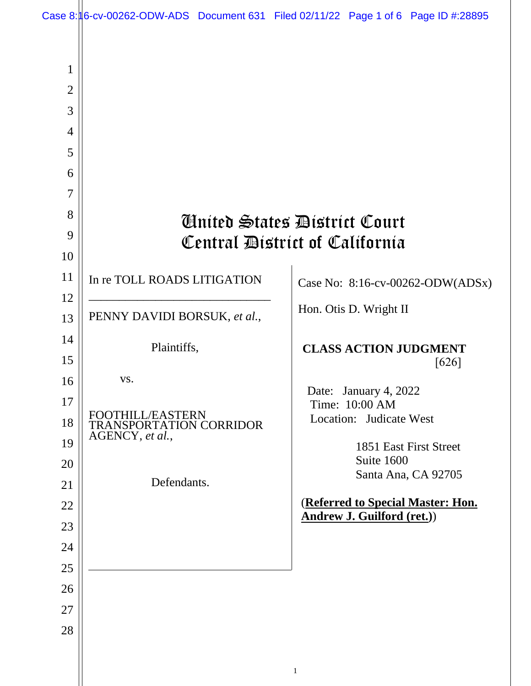| 1              |                                            |                                                                        |
|----------------|--------------------------------------------|------------------------------------------------------------------------|
| $\overline{2}$ |                                            |                                                                        |
| 3              |                                            |                                                                        |
| $\overline{4}$ |                                            |                                                                        |
| 5              |                                            |                                                                        |
| 6              |                                            |                                                                        |
| 7              |                                            |                                                                        |
| 8              |                                            | Ginited States District Court                                          |
| 9              | Central District of California             |                                                                        |
| 10             |                                            |                                                                        |
| 11             | In re TOLL ROADS LITIGATION                | Case No: 8:16-cv-00262-ODW(ADSx)                                       |
| 12             |                                            | Hon. Otis D. Wright II                                                 |
| 13             | PENNY DAVIDI BORSUK, et al.,               |                                                                        |
| 14             | Plaintiffs,                                | <b>CLASS ACTION JUDGMENT</b>                                           |
| 15             |                                            | $[626]$                                                                |
| 16             | VS.                                        | Date: January 4, 2022                                                  |
| 17             |                                            | Time: 10:00 AM                                                         |
| 18             | TRANSPORTATION CORRIDOR<br>AGENCY, et al., | Location: Judicate West                                                |
| 19             |                                            | 1851 East First Street                                                 |
| 20             |                                            | Suite 1600<br>Santa Ana, CA 92705                                      |
| 21             | Defendants.                                |                                                                        |
| 22             |                                            | (Referred to Special Master: Hon.<br><b>Andrew J. Guilford (ret.))</b> |
| 23             |                                            |                                                                        |
| 24             |                                            |                                                                        |
| 25             |                                            |                                                                        |
| 26             |                                            |                                                                        |
| 27             |                                            |                                                                        |
| 28             |                                            |                                                                        |
|                |                                            |                                                                        |
|                |                                            | $\mathbf{1}$                                                           |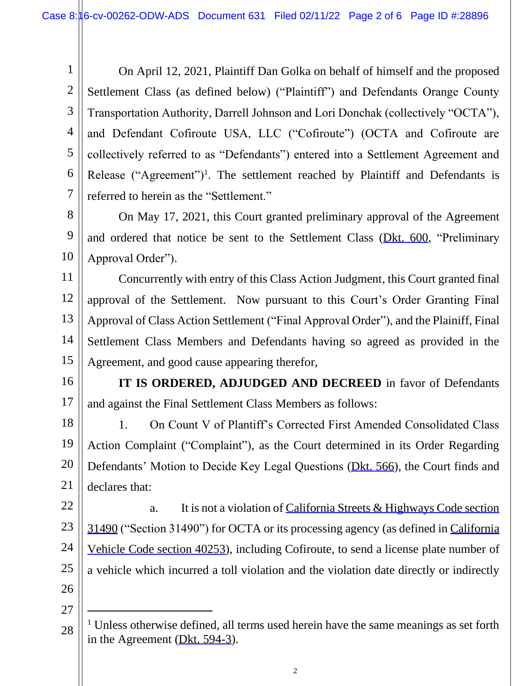1 2 3 4 5 6 7 On April 12, 2021, Plaintiff Dan Golka on behalf of himself and the proposed Settlement Class (as defined below) ("Plaintiff") and Defendants Orange County Transportation Authority, Darrell Johnson and Lori Donchak (collectively "OCTA"), and Defendant Cofiroute USA, LLC ("Cofiroute") (OCTA and Cofiroute are collectively referred to as "Defendants") entered into a Settlement Agreement and Release ("Agreement")<sup>1</sup>. The settlement reached by Plaintiff and Defendants is referred to herein as the "Settlement."

8 9 10 On May 17, 2021, this Court granted preliminary approval of the Agreement and ordered that notice be sent to the Settlement Class ([Dkt. 600](https://cacd-ecf.sso.dcn/n/cmecfservices/rest/file/finddoc?caseYear=2016&caseNum=00262&caseType=cv&caseOffice=8&docNum=600), "Preliminary Approval Order").

11 12 13 14 15 Concurrently with entry of this Class Action Judgment, this Court granted final approval of the Settlement. Now pursuant to this Court's Order Granting Final Approval of Class Action Settlement ("Final Approval Order"), and the Plainiff, Final Settlement Class Members and Defendants having so agreed as provided in the Agreement, and good cause appearing therefor,

16

17

**IT IS ORDERED, ADJUDGED AND DECREED** in favor of Defendants and against the Final Settlement Class Members as follows:

18 19 20 21 1. On Count V of Plantiff's Corrected First Amended Consolidated Class Action Complaint ("Complaint"), as the Court determined in its Order Regarding Defendants' Motion to Decide Key Legal Questions [\(Dkt. 566\)](https://cacd-ecf.sso.dcn/n/cmecfservices/rest/file/finddoc?caseYear=2016&caseNum=00262&caseType=cv&caseOffice=8&docNum=566), the Court finds and declares that:

22 23 24 25 26 a. It is not a violation of California Streets & Highways Code section [31490](https://www.westlaw.com/Link/Document/FullText?rs=USCLink&vr=3.0&findType=Y&cite=ca%2Bstr%2B%2Bhwy%2Bs%2B31490&clientid=USCourts) ("Section 31490") for OCTA or its processing agency (as defined in [California](https://www.westlaw.com/Link/Document/FullText?rs=USCLink&vr=3.0&findType=Y&cite=ca%2Bvehicle%2Bs%2B40253&clientid=USCourts)  [Vehicle Code section 40253](https://www.westlaw.com/Link/Document/FullText?rs=USCLink&vr=3.0&findType=Y&cite=ca%2Bvehicle%2Bs%2B40253&clientid=USCourts)), including Cofiroute, to send a license plate number of a vehicle which incurred a toll violation and the violation date directly or indirectly

27

<sup>28</sup> <sup>1</sup> Unless otherwise defined, all terms used herein have the same meanings as set forth in the Agreement [\(Dkt. 594-3](https://cacd-ecf.sso.dcn/n/cmecfservices/rest/file/finddoc?caseYear=2016&caseNum=00262&caseType=cv&caseOffice=8&docNum=594&docSeq=3)).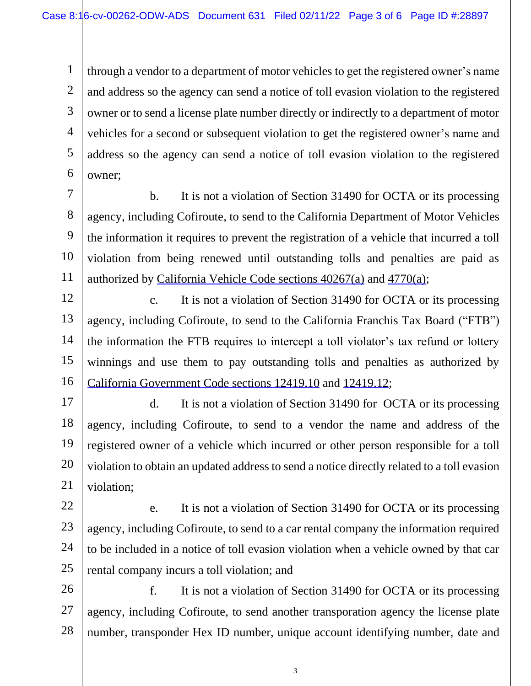1

2 3 4 5 6 through a vendor to a department of motor vehicles to get the registered owner's name and address so the agency can send a notice of toll evasion violation to the registered owner or to send a license plate number directly or indirectly to a department of motor vehicles for a second or subsequent violation to get the registered owner's name and address so the agency can send a notice of toll evasion violation to the registered owner;

7 8 9 10 11 b. It is not a violation of Section 31490 for OCTA or its processing agency, including Cofiroute, to send to the California Department of Motor Vehicles the information it requires to prevent the registration of a vehicle that incurred a toll violation from being renewed until outstanding tolls and penalties are paid as authorized by [California Vehicle Code sections 40267\(a\)](https://www.westlaw.com/Link/Document/FullText?rs=USCLink&vr=3.0&findType=Y&cite=ca%2Bvehicle%2Bs%2B40267&clientid=USCourts) and [4770\(a\)](https://www.westlaw.com/Link/Document/FullText?rs=USCLink&vr=3.0&findType=Y&cite=california%2B%2Bvehicle%2B%2Bcode4770&clientid=USCourts);

12 13 14 15 16 c. It is not a violation of Section 31490 for OCTA or its processing agency, including Cofiroute, to send to the California Franchis Tax Board ("FTB") the information the FTB requires to intercept a toll violator's tax refund or lottery winnings and use them to pay outstanding tolls and penalties as authorized by California Government [Code sections 12419.10](https://www.westlaw.com/Link/Document/FullText?rs=USCLink&vr=3.0&findType=Y&cite=ca%2Bgovt%2Bs%2B12419%2E10&clientid=USCourts) and [12419.12](https://www.westlaw.com/Link/Document/FullText?rs=USCLink&vr=3.0&findType=Y&cite=california%2B%2Bgovernment%2B%2Bcode12419%2E12&clientid=USCourts);

17 18 19 20 21 d. It is not a violation of Section 31490 for OCTA or its processing agency, including Cofiroute, to send to a vendor the name and address of the registered owner of a vehicle which incurred or other person responsible for a toll violation to obtain an updated address to send a notice directly related to a toll evasion violation;

22 23 24 25 e. It is not a violation of Section 31490 for OCTA or its processing agency, including Cofiroute, to send to a car rental company the information required to be included in a notice of toll evasion violation when a vehicle owned by that car rental company incurs a toll violation; and

26 27 28 f. It is not a violation of Section 31490 for OCTA or its processing agency, including Cofiroute, to send another transporation agency the license plate number, transponder Hex ID number, unique account identifying number, date and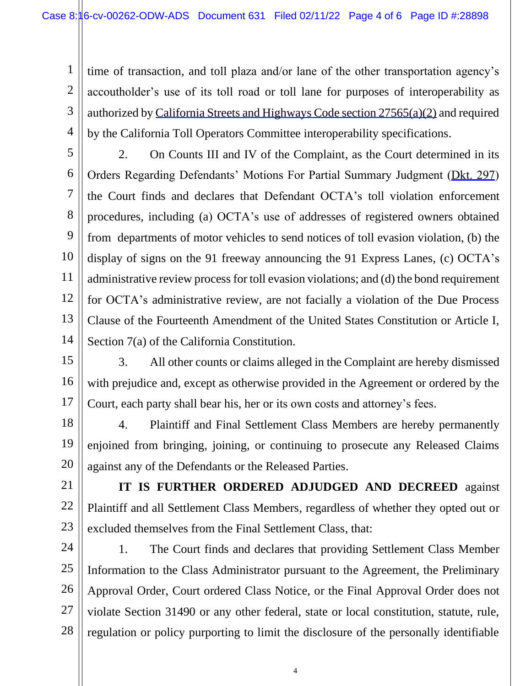1 2 3 4 time of transaction, and toll plaza and/or lane of the other transportation agency's accoutholder's use of its toll road or toll lane for purposes of interoperability as authorized by [California Streets and Highways Code section 27565\(a\)\(2\)](https://www.westlaw.com/Link/Document/FullText?rs=USCLink&vr=3.0&findType=Y&cite=ca%2Bstr%2B%2Bhwy%2Bs%2B27565&clientid=USCourts) and required by the California Toll Operators Committee interoperability specifications.

5 6 7 8 9 10 11 12 13 14 2. On Counts III and IV of the Complaint, as the Court determined in its Orders Regarding Defendants' Motions For Partial Summary Judgment ([Dkt. 297\)](https://cacd-ecf.sso.dcn/n/cmecfservices/rest/file/finddoc?caseYear=2016&caseNum=00262&caseType=cv&caseOffice=8&docNum=297) the Court finds and declares that Defendant OCTA's toll violation enforcement procedures, including (a) OCTA's use of addresses of registered owners obtained from departments of motor vehicles to send notices of toll evasion violation, (b) the display of signs on the 91 freeway announcing the 91 Express Lanes, (c) OCTA's administrative review process for toll evasion violations; and (d) the bond requirement for OCTA's administrative review, are not facially a violation of the Due Process Clause of the Fourteenth Amendment of the United States Constitution or Article I, Section 7(a) of the California Constitution.

15 16 17 3. All other counts or claims alleged in the Complaint are hereby dismissed with prejudice and, except as otherwise provided in the Agreement or ordered by the Court, each party shall bear his, her or its own costs and attorney's fees.

18 19 20 4. Plaintiff and Final Settlement Class Members are hereby permanently enjoined from bringing, joining, or continuing to prosecute any Released Claims against any of the Defendants or the Released Parties.

21 22 23 **IT IS FURTHER ORDERED ADJUDGED AND DECREED** against Plaintiff and all Settlement Class Members, regardless of whether they opted out or excluded themselves from the Final Settlement Class, that:

24 25 26 27 28 1. The Court finds and declares that providing Settlement Class Member Information to the Class Administrator pursuant to the Agreement, the Preliminary Approval Order, Court ordered Class Notice, or the Final Approval Order does not violate Section 31490 or any other federal, state or local constitution, statute, rule, regulation or policy purporting to limit the disclosure of the personally identifiable

4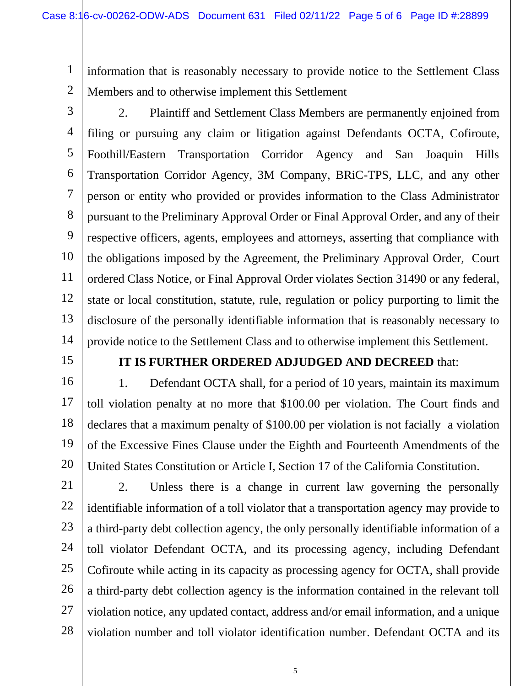1 2 information that is reasonably necessary to provide notice to the Settlement Class Members and to otherwise implement this Settlement

3

4

5

6

7

8

9

10

11

12

13

14

2. Plaintiff and Settlement Class Members are permanently enjoined from filing or pursuing any claim or litigation against Defendants OCTA, Cofiroute, Foothill/Eastern Transportation Corridor Agency and San Joaquin Hills Transportation Corridor Agency, 3M Company, BRiC-TPS, LLC, and any other person or entity who provided or provides information to the Class Administrator pursuant to the Preliminary Approval Order or Final Approval Order, and any of their respective officers, agents, employees and attorneys, asserting that compliance with the obligations imposed by the Agreement, the Preliminary Approval Order, Court ordered Class Notice, or Final Approval Order violates Section 31490 or any federal, state or local constitution, statute, rule, regulation or policy purporting to limit the disclosure of the personally identifiable information that is reasonably necessary to provide notice to the Settlement Class and to otherwise implement this Settlement.

15

16

17

18

19

20

## **IT IS FURTHER ORDERED ADJUDGED AND DECREED** that:

1. Defendant OCTA shall, for a period of 10 years, maintain its maximum toll violation penalty at no more that \$100.00 per violation. The Court finds and declares that a maximum penalty of \$100.00 per violation is not facially a violation of the Excessive Fines Clause under the Eighth and Fourteenth Amendments of the United States Constitution or Article I, Section 17 of the California Constitution.

21 22 23 24 25 26 27 28 2. Unless there is a change in current law governing the personally identifiable information of a toll violator that a transportation agency may provide to a third-party debt collection agency, the only personally identifiable information of a toll violator Defendant OCTA, and its processing agency, including Defendant Cofiroute while acting in its capacity as processing agency for OCTA, shall provide a third-party debt collection agency is the information contained in the relevant toll violation notice, any updated contact, address and/or email information, and a unique violation number and toll violator identification number. Defendant OCTA and its

5